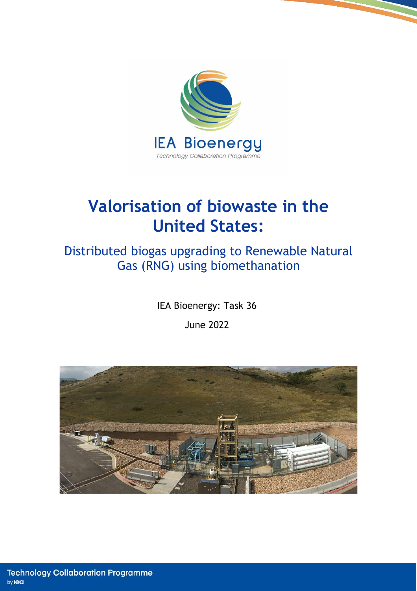

# **Valorisation of biowaste in the United States:**

## Distributed biogas upgrading to Renewable Natural Gas (RNG) using biomethanation

IEA Bioenergy: Task 36 June 2022

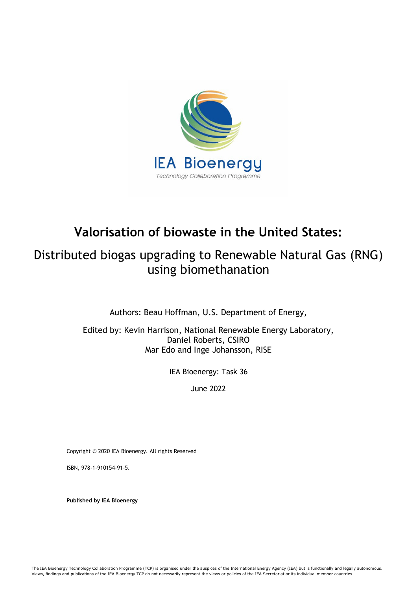

## **Valorisation of biowaste in the United States:**

## Distributed biogas upgrading to Renewable Natural Gas (RNG) using biomethanation

Authors: Beau Hoffman, U.S. Department of Energy,

Edited by: Kevin Harrison, National Renewable Energy Laboratory, Daniel Roberts, CSIRO Mar Edo and Inge Johansson, RISE

IEA Bioenergy: Task 36

June 2022

Copyright © 2020 IEA Bioenergy. All rights Reserved

ISBN, 978-1-910154-91-5.

**Published by IEA Bioenergy**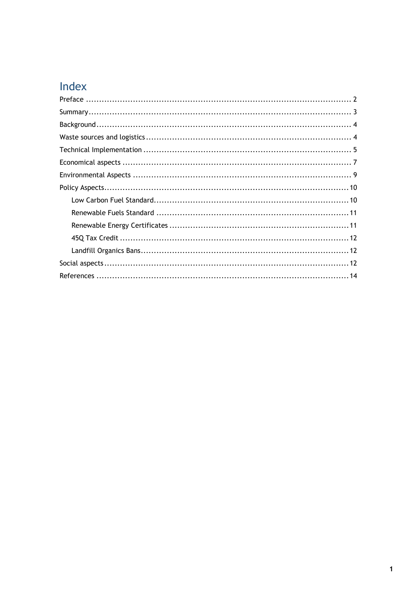## Index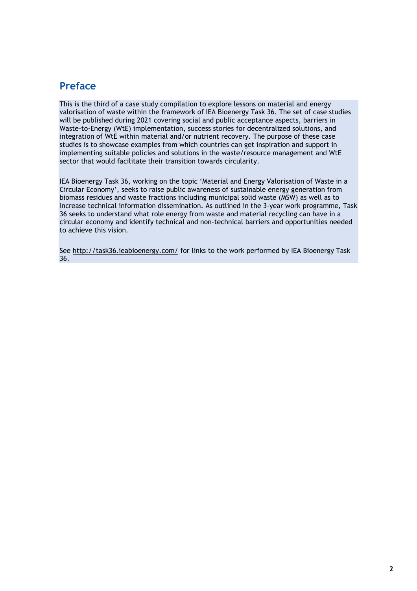## <span id="page-3-0"></span>**Preface**

This is the third of a case study compilation to explore lessons on material and energy valorisation of waste within the framework of IEA Bioenergy Task 36. The set of case studies will be published during 2021 covering social and public acceptance aspects, barriers in Waste-to-Energy (WtE) implementation, success stories for decentralized solutions, and integration of WtE within material and/or nutrient recovery. The purpose of these case studies is to showcase examples from which countries can get inspiration and support in implementing suitable policies and solutions in the waste/resource management and WtE sector that would facilitate their transition towards circularity.

IEA Bioenergy Task 36, working on the topic 'Material and Energy Valorisation of Waste in a Circular Economy', seeks to raise public awareness of sustainable energy generation from biomass residues and waste fractions including municipal solid waste (MSW) as well as to increase technical information dissemination. As outlined in the 3-year work programme, Task 36 seeks to understand what role energy from waste and material recycling can have in a circular economy and identify technical and non-technical barriers and opportunities needed to achieve this vision.

See<http://task36.ieabioenergy.com/> for links to the work performed by IEA Bioenergy Task 36.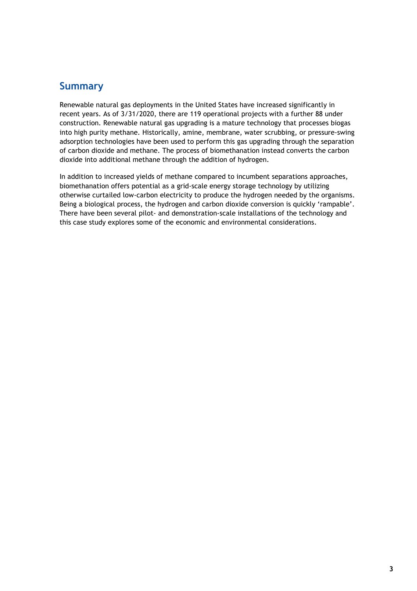## <span id="page-4-0"></span>**Summary**

Renewable natural gas deployments in the United States have increased significantly in recent years. As of 3/31/2020, there are 119 operational projects with a further 88 under construction. Renewable natural gas upgrading is a mature technology that processes biogas into high purity methane. Historically, amine, membrane, water scrubbing, or pressure-swing adsorption technologies have been used to perform this gas upgrading through the separation of carbon dioxide and methane. The process of biomethanation instead converts the carbon dioxide into additional methane through the addition of hydrogen.

In addition to increased yields of methane compared to incumbent separations approaches, biomethanation offers potential as a grid-scale energy storage technology by utilizing otherwise curtailed low-carbon electricity to produce the hydrogen needed by the organisms. Being a biological process, the hydrogen and carbon dioxide conversion is quickly 'rampable'. There have been several pilot- and demonstration-scale installations of the technology and this case study explores some of the economic and environmental considerations.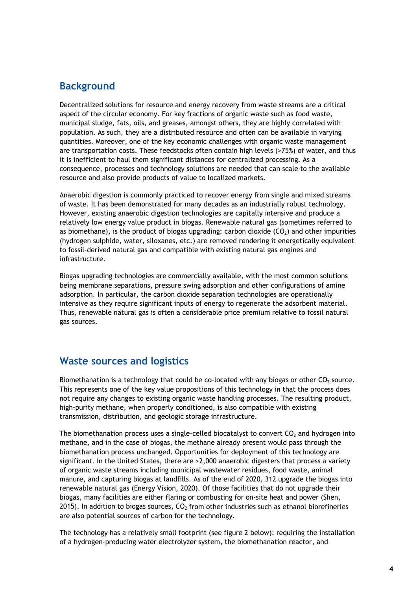### <span id="page-5-0"></span>**Background**

Decentralized solutions for resource and energy recovery from waste streams are a critical aspect of the circular economy. For key fractions of organic waste such as food waste, municipal sludge, fats, oils, and greases, amongst others, they are highly correlated with population. As such, they are a distributed resource and often can be available in varying quantities. Moreover, one of the key economic challenges with organic waste management are transportation costs. These feedstocks often contain high levels (>75%) of water, and thus it is inefficient to haul them significant distances for centralized processing. As a consequence, processes and technology solutions are needed that can scale to the available resource and also provide products of value to localized markets.

Anaerobic digestion is commonly practiced to recover energy from single and mixed streams of waste. It has been demonstrated for many decades as an industrially robust technology. However, existing anaerobic digestion technologies are capitally intensive and produce a relatively low energy value product in biogas. Renewable natural gas (sometimes referred to as biomethane), is the product of biogas upgrading: carbon dioxide  $(CO<sub>2</sub>)$  and other impurities (hydrogen sulphide, water, siloxanes, etc.) are removed rendering it energetically equivalent to fossil-derived natural gas and compatible with existing natural gas engines and infrastructure.

Biogas upgrading technologies are commercially available, with the most common solutions being membrane separations, pressure swing adsorption and other configurations of amine adsorption. In particular, the carbon dioxide separation technologies are operationally intensive as they require significant inputs of energy to regenerate the adsorbent material. Thus, renewable natural gas is often a considerable price premium relative to fossil natural gas sources.

#### <span id="page-5-1"></span>**Waste sources and logistics**

Biomethanation is a technology that could be co-located with any biogas or other  $CO<sub>2</sub>$  source. This represents one of the key value propositions of this technology in that the process does not require any changes to existing organic waste handling processes. The resulting product, high-purity methane, when properly conditioned, is also compatible with existing transmission, distribution, and geologic storage infrastructure.

The biomethanation process uses a single-celled biocatalyst to convert  $CO<sub>2</sub>$  and hydrogen into methane, and in the case of biogas, the methane already present would pass through the biomethanation process unchanged. Opportunities for deployment of this technology are significant. In the United States, there are >2,000 anaerobic digesters that process a variety of organic waste streams including municipal wastewater residues, food waste, animal manure, and capturing biogas at landfills. As of the end of 2020, 312 upgrade the biogas into renewable natural gas (Energy Vision, 2020). Of those facilities that do not upgrade their biogas, many facilities are either flaring or combusting for on-site heat and power (Shen, 2015). In addition to biogas sources,  $CO<sub>2</sub>$  from other industries such as ethanol biorefineries are also potential sources of carbon for the technology.

The technology has a relatively small footprint (see figure 2 below): requiring the installation of a hydrogen-producing water electrolyzer system, the biomethanation reactor, and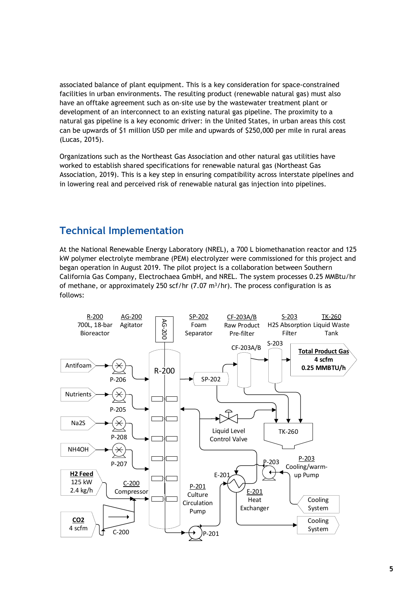associated balance of plant equipment. This is a key consideration for space-constrained facilities in urban environments. The resulting product (renewable natural gas) must also have an offtake agreement such as on-site use by the wastewater treatment plant or development of an interconnect to an existing natural gas pipeline. The proximity to a natural gas pipeline is a key economic driver: in the United States, in urban areas this cost can be upwards of \$1 million USD per mile and upwards of \$250,000 per mile in rural areas (Lucas, 2015).

Organizations such as the Northeast Gas Association and other natural gas utilities have worked to establish shared specifications for renewable natural gas (Northeast Gas Association, 2019). This is a key step in ensuring compatibility across interstate pipelines and in lowering real and perceived risk of renewable natural gas injection into pipelines.

## <span id="page-6-0"></span>**Technical Implementation**

At the National Renewable Energy Laboratory (NREL), a 700 L biomethanation reactor and 125 kW polymer electrolyte membrane (PEM) electrolyzer were commissioned for this project and began operation in August 2019. The pilot project is a collaboration between Southern California Gas Company, Electrochaea GmbH, and NREL. The system processes 0.25 MMBtu/hr of methane, or approximately 250 scf/hr (7.07 m<sup>3</sup>/hr). The process configuration is as follows:

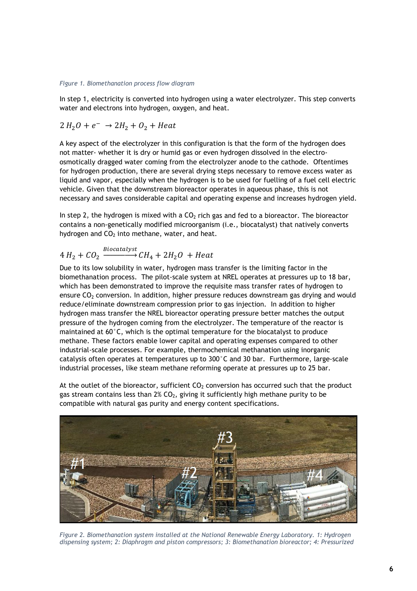#### *Figure 1. Biomethanation process flow diagram*

In step 1, electricity is converted into hydrogen using a water electrolyzer. This step converts water and electrons into hydrogen, oxygen, and heat.

$$
2 H_2 O + e^- \rightarrow 2 H_2 + O_2 + Heat
$$

A key aspect of the electrolyzer in this configuration is that the form of the hydrogen does not matter- whether it is dry or humid gas or even hydrogen dissolved in the electroosmotically dragged water coming from the electrolyzer anode to the cathode. Oftentimes for hydrogen production, there are several drying steps necessary to remove excess water as liquid and vapor, especially when the hydrogen is to be used for fuelling of a fuel cell electric vehicle. Given that the downstream bioreactor operates in aqueous phase, this is not necessary and saves considerable capital and operating expense and increases hydrogen yield.

In step 2, the hydrogen is mixed with a  $CO<sub>2</sub>$  rich gas and fed to a bioreactor. The bioreactor contains a non-genetically modified microorganism (i.e., biocatalyst) that natively converts hydrogen and  $CO<sub>2</sub>$  into methane, water, and heat.

$$
4 H_2 + C O_2 \xrightarrow{Biocatalyst} CH_4 + 2H_2O + Heat
$$

Due to its low solubility in water, hydrogen mass transfer is the limiting factor in the biomethanation process. The pilot-scale system at NREL operates at pressures up to 18 bar, which has been demonstrated to improve the requisite mass transfer rates of hydrogen to ensure  $CO<sub>2</sub>$  conversion. In addition, higher pressure reduces downstream gas drying and would reduce/eliminate downstream compression prior to gas injection. In addition to higher hydrogen mass transfer the NREL bioreactor operating pressure better matches the output pressure of the hydrogen coming from the electrolyzer. The temperature of the reactor is maintained at 60°C, which is the optimal temperature for the biocatalyst to produce methane. These factors enable lower capital and operating expenses compared to other industrial-scale processes. For example, thermochemical methanation using inorganic catalysis often operates at temperatures up to 300°C and 30 bar. Furthermore, large-scale industrial processes, like steam methane reforming operate at pressures up to 25 bar.

At the outlet of the bioreactor, sufficient  $CO<sub>2</sub>$  conversion has occurred such that the product gas stream contains less than  $2\%$  CO<sub>2</sub>, giving it sufficiently high methane purity to be compatible with natural gas purity and energy content specifications.



*Figure 2. Biomethanation system installed at the National Renewable Energy Laboratory. 1: Hydrogen dispensing system; 2: Diaphragm and piston compressors; 3: Biomethanation bioreactor; 4: Pressurized*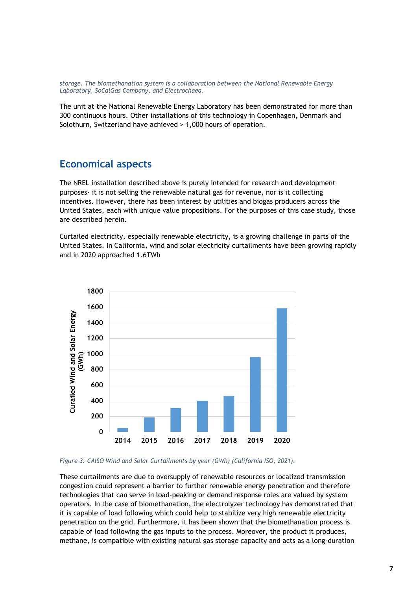*storage. The biomethanation system is a collaboration between the National Renewable Energy Laboratory, SoCalGas Company, and Electrochaea.*

The unit at the National Renewable Energy Laboratory has been demonstrated for more than 300 continuous hours. Other installations of this technology in Copenhagen, Denmark and Solothurn, Switzerland have achieved > 1,000 hours of operation.

#### <span id="page-8-0"></span>**Economical aspects**

The NREL installation described above is purely intended for research and development purposes- it is not selling the renewable natural gas for revenue, nor is it collecting incentives. However, there has been interest by utilities and biogas producers across the United States, each with unique value propositions. For the purposes of this case study, those are described herein.

Curtailed electricity, especially renewable electricity, is a growing challenge in parts of the United States. In California, wind and solar electricity curtailments have been growing rapidly and in 2020 approached 1.6TWh



*Figure 3. CAISO Wind and Solar Curtailments by year (GWh) (California ISO, 2021).*

These curtailments are due to oversupply of renewable resources or localized transmission congestion could represent a barrier to further renewable energy penetration and therefore technologies that can serve in load-peaking or demand response roles are valued by system operators. In the case of biomethanation, the electrolyzer technology has demonstrated that it is capable of load following which could help to stabilize very high renewable electricity penetration on the grid. Furthermore, it has been shown that the biomethanation process is capable of load following the gas inputs to the process. Moreover, the product it produces, methane, is compatible with existing natural gas storage capacity and acts as a long-duration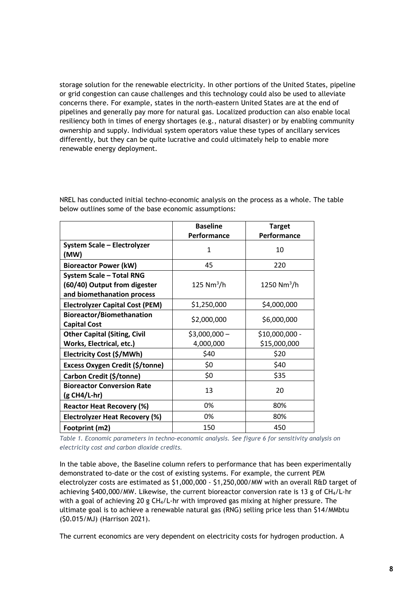storage solution for the renewable electricity. In other portions of the United States, pipeline or grid congestion can cause challenges and this technology could also be used to alleviate concerns there. For example, states in the north-eastern United States are at the end of pipelines and generally pay more for natural gas. Localized production can also enable local resiliency both in times of energy shortages (e.g., natural disaster) or by enabling community ownership and supply. Individual system operators value these types of ancillary services differently, but they can be quite lucrative and could ultimately help to enable more renewable energy deployment.

|                                        | <b>Baseline</b>          | <b>Target</b>   |
|----------------------------------------|--------------------------|-----------------|
|                                        | Performance              | Performance     |
| <b>System Scale - Electrolyzer</b>     | 1                        | 10              |
| (MW)                                   |                          |                 |
| <b>Bioreactor Power (kW)</b>           | 45                       | 220             |
| <b>System Scale - Total RNG</b>        |                          |                 |
| (60/40) Output from digester           | $125$ Nm <sup>3</sup> /h | 1250 $Nm^3/h$   |
| and biomethanation process             |                          |                 |
| <b>Electrolyzer Capital Cost (PEM)</b> | \$1,250,000              | \$4,000,000     |
| <b>Bioreactor/Biomethanation</b>       | \$2,000,000              | \$6,000,000     |
| <b>Capital Cost</b>                    |                          |                 |
| <b>Other Capital (Siting, Civil</b>    | $$3,000,000-$            | $$10,000,000 -$ |
| Works, Electrical, etc.)               | 4,000,000                | \$15,000,000    |
| Electricity Cost (\$/MWh)              | \$40                     | \$20            |
| Excess Oxygen Credit (\$/tonne)        | \$0                      | \$40            |
| Carbon Credit (\$/tonne)               | \$0                      | \$35            |
| <b>Bioreactor Conversion Rate</b>      | 13                       | 20              |
| $(g CH4/L-hr)$                         |                          |                 |
| <b>Reactor Heat Recovery (%)</b>       | 0%                       | 80%             |
| <b>Electrolyzer Heat Recovery (%)</b>  | 0%                       | 80%             |
| Footprint (m2)                         | 150                      | 450             |

NREL has conducted initial techno-economic analysis on the process as a whole. The table below outlines some of the base economic assumptions:

*Table 1. Economic parameters in techno-economic analysis. See figure 6 for sensitivity analysis on electricity cost and carbon dioxide credits.*

In the table above, the Baseline column refers to performance that has been experimentally demonstrated to-date or the cost of existing systems. For example, the current PEM electrolyzer costs are estimated as \$1,000,000 - \$1,250,000/MW with an overall R&D target of achieving \$400,000/MW. Likewise, the current bioreactor conversion rate is 13 g of CH4/L-hr with a goal of achieving 20 g CH<sub>4</sub>/L-hr with improved gas mixing at higher pressure. The ultimate goal is to achieve a renewable natural gas (RNG) selling price less than \$14/MMbtu (\$0.015/MJ) (Harrison 2021).

The current economics are very dependent on electricity costs for hydrogen production. A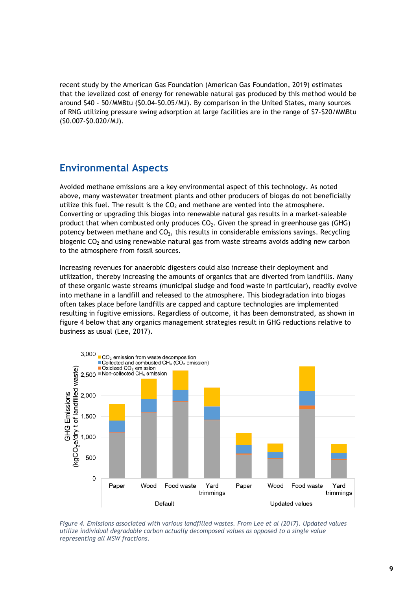recent study by the American Gas Foundation (American Gas Foundation, 2019) estimates that the levelized cost of energy for renewable natural gas produced by this method would be around \$40 - 50/MMBtu (\$0.04-\$0.05/MJ). By comparison in the United States, many sources of RNG utilizing pressure swing adsorption at large facilities are in the range of \$7-\$20/MMBtu (\$0.007-\$0.020/MJ).

### <span id="page-10-0"></span>**Environmental Aspects**

Avoided methane emissions are a key environmental aspect of this technology. As noted above, many wastewater treatment plants and other producers of biogas do not beneficially utilize this fuel. The result is the  $CO<sub>2</sub>$  and methane are vented into the atmosphere. Converting or upgrading this biogas into renewable natural gas results in a market-saleable product that when combusted only produces  $CO<sub>2</sub>$ . Given the spread in greenhouse gas (GHG) potency between methane and  $CO<sub>2</sub>$ , this results in considerable emissions savings. Recycling biogenic  $CO<sub>2</sub>$  and using renewable natural gas from waste streams avoids adding new carbon to the atmosphere from fossil sources.

Increasing revenues for anaerobic digesters could also increase their deployment and utilization, thereby increasing the amounts of organics that are diverted from landfills. Many of these organic waste streams (municipal sludge and food waste in particular), readily evolve into methane in a landfill and released to the atmosphere. This biodegradation into biogas often takes place before landfills are capped and capture technologies are implemented resulting in fugitive emissions. Regardless of outcome, it has been demonstrated, as shown in figure 4 below that any organics management strategies result in GHG reductions relative to business as usual (Lee, 2017).



*Figure 4. Emissions associated with various landfilled wastes. From Lee et al (2017). Updated values utilize individual degradable carbon actually decomposed values as opposed to a single value representing all MSW fractions.*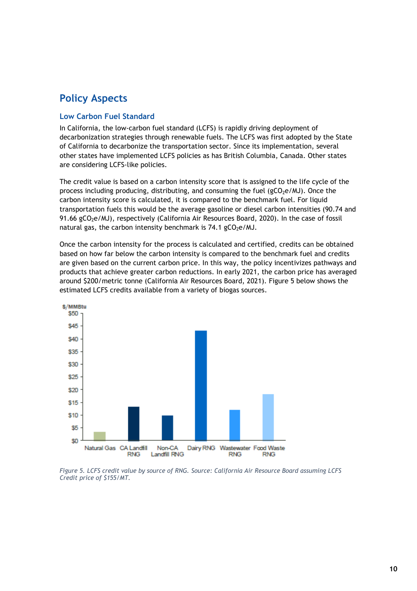## <span id="page-11-0"></span>**Policy Aspects**

#### <span id="page-11-1"></span>**Low Carbon Fuel Standard**

In California, the low-carbon fuel standard (LCFS) is rapidly driving deployment of decarbonization strategies through renewable fuels. The LCFS was first adopted by the State of California to decarbonize the transportation sector. Since its implementation, several other states have implemented LCFS policies as has British Columbia, Canada. Other states are considering LCFS-like policies.

The credit value is based on a carbon intensity score that is assigned to the life cycle of the process including producing, distributing, and consuming the fuel ( $gCO<sub>2</sub>e/M$ J). Once the carbon intensity score is calculated, it is compared to the benchmark fuel. For liquid transportation fuels this would be the average gasoline or diesel carbon intensities (90.74 and 91.66 gCO<sub>2</sub>e/MJ), respectively (California Air Resources Board, 2020). In the case of fossil natural gas, the carbon intensity benchmark is  $74.1$  gCO<sub>2</sub>e/MJ.

Once the carbon intensity for the process is calculated and certified, credits can be obtained based on how far below the carbon intensity is compared to the benchmark fuel and credits are given based on the current carbon price. In this way, the policy incentivizes pathways and products that achieve greater carbon reductions. In early 2021, the carbon price has averaged around \$200/metric tonne (California Air Resources Board, 2021). Figure 5 below shows the estimated LCFS credits available from a variety of biogas sources.



*Figure 5. LCFS credit value by source of RNG. Source: California Air Resource Board assuming LCFS Credit price of \$155/MT.*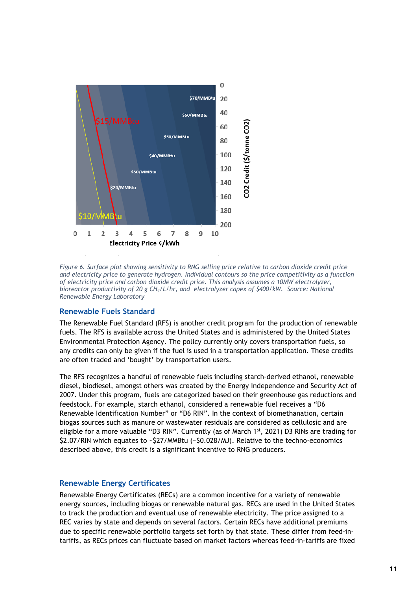

*Figure 6. Surface plot showing sensitivity to RNG selling price relative to carbon dioxide credit price and electricity price to generate hydrogen. Individual contours so the price competitivity as a function of electricity price and carbon dioxide credit price. This analysis assumes a 10MW electrolyzer, bioreactor productivity of 20 g CH4/L/hr, and electrolyzer capex of \$400/kW. Source: National Renewable Energy Laboratory*

#### <span id="page-12-0"></span>**Renewable Fuels Standard**

The Renewable Fuel Standard (RFS) is another credit program for the production of renewable fuels. The RFS is available across the United States and is administered by the United States Environmental Protection Agency. The policy currently only covers transportation fuels, so any credits can only be given if the fuel is used in a transportation application. These credits are often traded and 'bought' by transportation users.

The RFS recognizes a handful of renewable fuels including starch-derived ethanol, renewable diesel, biodiesel, amongst others was created by the Energy Independence and Security Act of 2007. Under this program, fuels are categorized based on their greenhouse gas reductions and feedstock. For example, starch ethanol, considered a renewable fuel receives a "D6 Renewable Identification Number" or "D6 RIN". In the context of biomethanation, certain biogas sources such as manure or wastewater residuals are considered as cellulosic and are eligible for a more valuable "D3 RIN". Currently (as of March  $1<sup>st</sup>$ , 2021) D3 RINs are trading for \$2.07/RIN which equates to ~\$27/MMBtu (~\$0.028/MJ). Relative to the techno-economics described above, this credit is a significant incentive to RNG producers.

#### <span id="page-12-1"></span>**Renewable Energy Certificates**

Renewable Energy Certificates (RECs) are a common incentive for a variety of renewable energy sources, including biogas or renewable natural gas. RECs are used in the United States to track the production and eventual use of renewable electricity. The price assigned to a REC varies by state and depends on several factors. Certain RECs have additional premiums due to specific renewable portfolio targets set forth by that state. These differ from feed-intariffs, as RECs prices can fluctuate based on market factors whereas feed-in-tariffs are fixed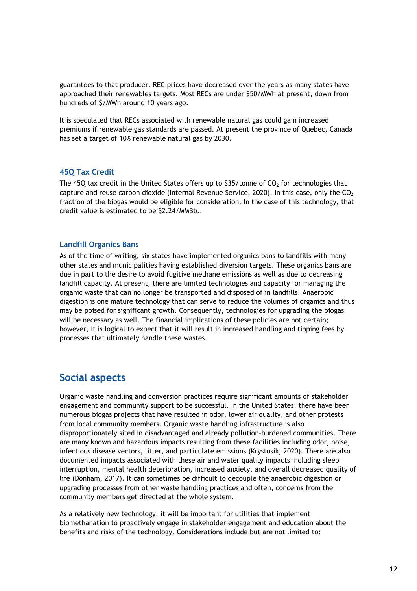guarantees to that producer. REC prices have decreased over the years as many states have approached their renewables targets. Most RECs are under \$50/MWh at present, down from hundreds of \$/MWh around 10 years ago.

It is speculated that RECs associated with renewable natural gas could gain increased premiums if renewable gas standards are passed. At present the province of Quebec, Canada has set a target of 10% renewable natural gas by 2030.

#### <span id="page-13-0"></span>**45Q Tax Credit**

The 45Q tax credit in the United States offers up to \$35/tonne of  $CO<sub>2</sub>$  for technologies that capture and reuse carbon dioxide (Internal Revenue Service, 2020). In this case, only the  $CO<sub>2</sub>$ fraction of the biogas would be eligible for consideration. In the case of this technology, that credit value is estimated to be \$2.24/MMBtu.

#### <span id="page-13-1"></span>**Landfill Organics Bans**

As of the time of writing, six states have implemented organics bans to landfills with many other states and municipalities having established diversion targets. These organics bans are due in part to the desire to avoid fugitive methane emissions as well as due to decreasing landfill capacity. At present, there are limited technologies and capacity for managing the organic waste that can no longer be transported and disposed of in landfills. Anaerobic digestion is one mature technology that can serve to reduce the volumes of organics and thus may be poised for significant growth. Consequently, technologies for upgrading the biogas will be necessary as well. The financial implications of these policies are not certain; however, it is logical to expect that it will result in increased handling and tipping fees by processes that ultimately handle these wastes.

#### <span id="page-13-2"></span>**Social aspects**

Organic waste handling and conversion practices require significant amounts of stakeholder engagement and community support to be successful. In the United States, there have been numerous biogas projects that have resulted in odor, lower air quality, and other protests from local community members. Organic waste handling infrastructure is also disproportionately sited in disadvantaged and already pollution-burdened communities. There are many known and hazardous impacts resulting from these facilities including odor, noise, infectious disease vectors, litter, and particulate emissions (Krystosik, 2020). There are also documented impacts associated with these air and water quality impacts including sleep interruption, mental health deterioration, increased anxiety, and overall decreased quality of life (Donham, 2017). It can sometimes be difficult to decouple the anaerobic digestion or upgrading processes from other waste handling practices and often, concerns from the community members get directed at the whole system.

As a relatively new technology, it will be important for utilities that implement biomethanation to proactively engage in stakeholder engagement and education about the benefits and risks of the technology. Considerations include but are not limited to: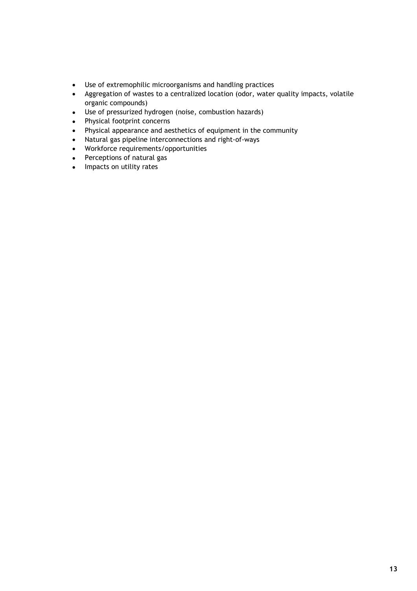- Use of extremophilic microorganisms and handling practices
- Aggregation of wastes to a centralized location (odor, water quality impacts, volatile organic compounds)
- Use of pressurized hydrogen (noise, combustion hazards)
- Physical footprint concerns
- Physical appearance and aesthetics of equipment in the community
- Natural gas pipeline interconnections and right-of-ways
- Workforce requirements/opportunities
- Perceptions of natural gas
- Impacts on utility rates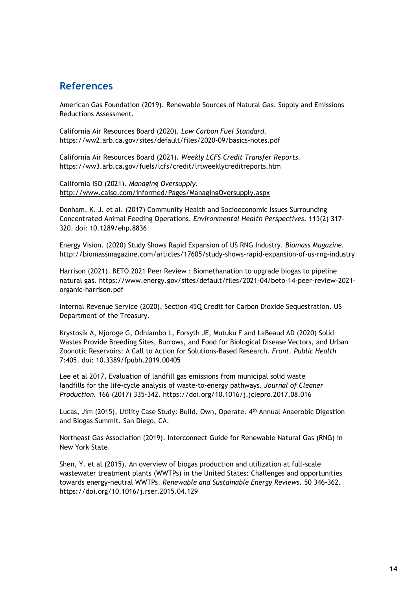#### <span id="page-15-0"></span>**References**

American Gas Foundation (2019). Renewable Sources of Natural Gas: Supply and Emissions Reductions Assessment.

California Air Resources Board (2020). *Low Carbon Fuel Standard.* <https://ww2.arb.ca.gov/sites/default/files/2020-09/basics-notes.pdf>

California Air Resources Board (2021). *Weekly LCFS Credit Transfer Reports.*  <https://ww3.arb.ca.gov/fuels/lcfs/credit/lrtweeklycreditreports.htm>

California ISO (2021). *Managing Oversupply.* <http://www.caiso.com/informed/Pages/ManagingOversupply.aspx>

Donham, K. J. et al. (2017) Community Health and Socioeconomic Issues Surrounding Concentrated Animal Feeding Operations. *Environmental Health Perspectives.* 115(2) 317- 320. doi: [10.1289/ehp.8836](https://dx.doi.org/10.1289%2Fehp.8836)

Energy Vision. (2020) Study Shows Rapid Expansion of US RNG Industry. *Biomass Magazine.* <http://biomassmagazine.com/articles/17605/study-shows-rapid-expansion-of-us-rng-industry>

Harrison (2021). BETO 2021 Peer Review : Biomethanation to upgrade biogas to pipeline natural gas. https://www.energy.gov/sites/default/files/2021-04/beto-14-peer-review-2021 organic-harrison.pdf

Internal Revenue Service (2020). Section 45Q Credit for Carbon Dioxide Sequestration. US Department of the Treasury.

Krystosik A, Njoroge G, Odhiambo L, Forsyth JE, Mutuku F and LaBeaud AD (2020) Solid Wastes Provide Breeding Sites, Burrows, and Food for Biological Disease Vectors, and Urban Zoonotic Reservoirs: A Call to Action for Solutions-Based Research. *Front. Public Health* 7:405. doi: 10.3389/fpubh.2019.00405

Lee et al 2017. Evaluation of landfill gas emissions from municipal solid waste landfills for the life-cycle analysis of waste-to-energy pathways. *Journal of Cleaner Production.* 166 (2017) 335-342. <https://doi.org/10.1016/j.jclepro.2017.08.016>

Lucas, Jim (2015). Utility Case Study: Build, Own, Operate. 4th Annual Anaerobic Digestion and Biogas Summit. San Diego, CA.

Northeast Gas Association (2019). Interconnect Guide for Renewable Natural Gas (RNG) in New York State.

Shen, Y. et al (2015). An overview of biogas production and utilization at full-scale wastewater treatment plants (WWTPs) in the United States: Challenges and opportunities towards energy-neutral WWTPs. *Renewable and Sustainable Energy Reviews.* 50 346-362. <https://doi.org/10.1016/j.rser.2015.04.129>